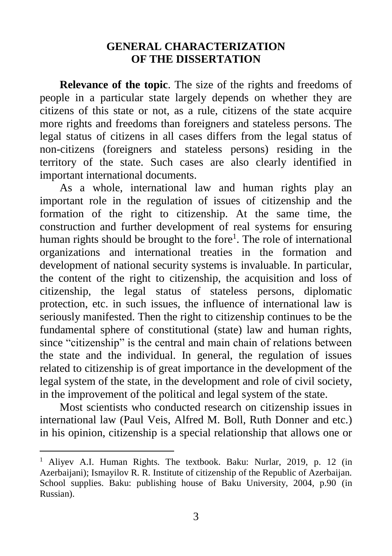## **GENERAL CHARACTERIZATION OF THE DISSERTATION**

**Relevance of the topic**. The size of the rights and freedoms of people in a particular state largely depends on whether they are citizens of this state or not, as a rule, citizens of the state acquire more rights and freedoms than foreigners and stateless persons. The legal status of citizens in all cases differs from the legal status of non-citizens (foreigners and stateless persons) residing in the territory of the state. Such cases are also clearly identified in important international documents.

As a whole, international law and human rights play an important role in the regulation of issues of citizenship and the formation of the right to citizenship. At the same time, the construction and further development of real systems for ensuring human rights should be brought to the fore<sup>1</sup>. The role of international organizations and international treaties in the formation and development of national security systems is invaluable. In particular, the content of the right to citizenship, the acquisition and loss of citizenship, the legal status of stateless persons, diplomatic protection, etc. in such issues, the influence of international law is seriously manifested. Then the right to citizenship continues to be the fundamental sphere of constitutional (state) law and human rights, since "citizenship" is the central and main chain of relations between the state and the individual. In general, the regulation of issues related to citizenship is of great importance in the development of the legal system of the state, in the development and role of civil society, in the improvement of the political and legal system of the state.

Most scientists who conducted research on citizenship issues in international law (Paul Veis, Alfred M. Boll, Ruth Donner and etc.) in his opinion, citizenship is a special relationship that allows one or

<sup>&</sup>lt;sup>1</sup> Aliyev A.I. Human Rights. The textbook. Baku: Nurlar, 2019, p. 12 (in Azerbaijani); Ismayilov R. R. Institute of citizenship of the Republic of Azerbaijan. School supplies. Baku: publishing house of Baku University, 2004, p.90 (in Russian).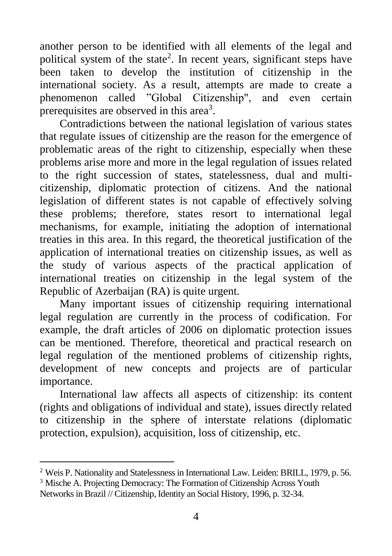another person to be identified with all elements of the legal and political system of the state<sup>2</sup>. In recent years, significant steps have been taken to develop the institution of citizenship in the international society. As a result, attempts are made to create a phenomenon called "Global Citizenship", and even certain prerequisites are observed in this area<sup>3</sup>.

Contradictions between the national legislation of various states that regulate issues of citizenship are the reason for the emergence of problematic areas of the right to citizenship, especially when these problems arise more and more in the legal regulation of issues related to the right succession of states, statelessness, dual and multicitizenship, diplomatic protection of citizens. And the national legislation of different states is not capable of effectively solving these problems; therefore, states resort to international legal mechanisms, for example, initiating the adoption of international treaties in this area. In this regard, the theoretical justification of the application of international treaties on citizenship issues, as well as the study of various aspects of the practical application of international treaties on citizenship in the legal system of the Republic of Azerbaijan (RA) is quite urgent.

Many important issues of citizenship requiring international legal regulation are currently in the process of codification. For example, the draft articles of 2006 on diplomatic protection issues can be mentioned. Therefore, theoretical and practical research on legal regulation of the mentioned problems of citizenship rights, development of new concepts and projects are of particular importance.

International law affects all aspects of citizenship: its content (rights and obligations of individual and state), issues directly related to citizenship in the sphere of interstate relations (diplomatic protection, expulsion), acquisition, loss of citizenship, etc.

<sup>2</sup> Weis P. Nationality and Statelessness in International Law. Leiden: BRILL, 1979, p. 56.

<sup>3</sup> Mische A. Projecting Democracy: The Formation of Citizenship Across Youth Networks in Brazil // Citizenship, Identity an Social History, 1996, p. 32-34.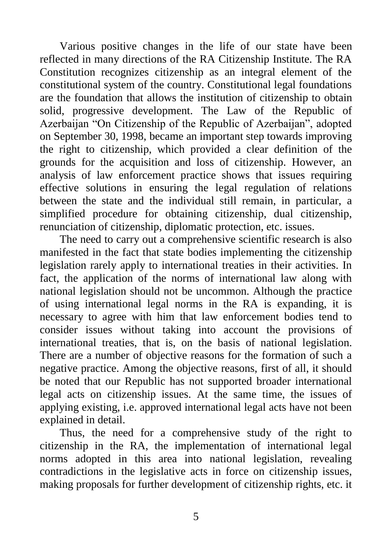Various positive changes in the life of our state have been reflected in many directions of the RA Citizenship Institute. The RA Constitution recognizes citizenship as an integral element of the constitutional system of the country. Constitutional legal foundations are the foundation that allows the institution of citizenship to obtain solid, progressive development. The Law of the Republic of Azerbaijan "On Citizenship of the Republic of Azerbaijan", adopted on September 30, 1998, became an important step towards improving the right to citizenship, which provided a clear definition of the grounds for the acquisition and loss of citizenship. However, an analysis of law enforcement practice shows that issues requiring effective solutions in ensuring the legal regulation of relations between the state and the individual still remain, in particular, a simplified procedure for obtaining citizenship, dual citizenship, renunciation of citizenship, diplomatic protection, etc. issues.

The need to carry out a comprehensive scientific research is also manifested in the fact that state bodies implementing the citizenship legislation rarely apply to international treaties in their activities. In fact, the application of the norms of international law along with national legislation should not be uncommon. Although the practice of using international legal norms in the RA is expanding, it is necessary to agree with him that law enforcement bodies tend to consider issues without taking into account the provisions of international treaties, that is, on the basis of national legislation. There are a number of objective reasons for the formation of such a negative practice. Among the objective reasons, first of all, it should be noted that our Republic has not supported broader international legal acts on citizenship issues. At the same time, the issues of applying existing, i.e. approved international legal acts have not been explained in detail.

Thus, the need for a comprehensive study of the right to citizenship in the RA, the implementation of international legal norms adopted in this area into national legislation, revealing contradictions in the legislative acts in force on citizenship issues, making proposals for further development of citizenship rights, etc. it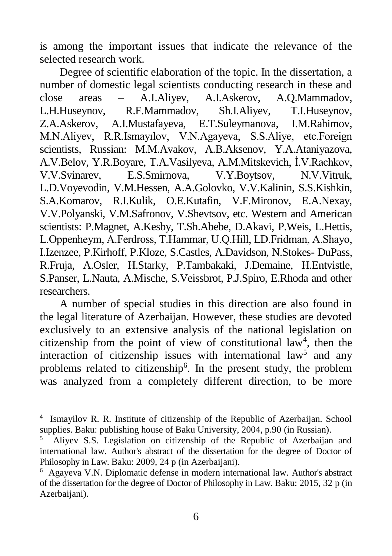is among the important issues that indicate the relevance of the selected research work.

Degree of scientific elaboration of the topic. In the dissertation, a number of domestic legal scientists conducting research in these and close areas – A.I.Aliyev, A.I.Askerov, A.Q.Mammadov, L.H.Huseynov, R.F.Mammadov, Sh.I.Aliyev, T.I.Huseynov, Z.A.Askerov, A.I.Mustafayeva, E.T.Suleymanova, I.M.Rahimov, M.N.Aliyev, R.R.Ismayılov, V.N.Agayeva, S.S.Aliye, etc.Foreign scientists, Russian: M.M.Avakov, A.B.Aksenov, Y.A.Ataniyazova, A.V.Belov, Y.R.Boyare, T.A.Vasilyeva, A.M.Mitskevich, İ.V.Rachkov, V.V.Svinarev, E.S.Smirnova, V.Y.Boytsov, N.V.Vitruk, L.D.Voyevodin, V.M.Hessen, A.A.Golovko, V.V.Kalinin, S.S.Kishkin, S.A.Komarov, R.I.Kulik, O.E.Kutafin, V.F.Mironov, E.A.Nexay, V.V.Polyanski, V.M.Safronov, V.Shevtsov, etc. Western and American scientists: P.Magnet, A.Kesby, T.Sh.Abebe, D.Akavi, P.Weis, L.Hettis, L.Оppenheym, А.Ferdross, Т.Hаmmar, U.Q.Hill, LD.Fridman, A.Shayo, I.Izenzee, P.Kirhoff, P.Kloze, S.Castles, A.Davidson, N.Stokes- DuPass, R.Fruja, A.Osler, H.Starky, P.Tambakaki, J.Demaine, H.Entvistle, S.Panser, L.Nauta, A.Mische, S.Veissbrot, P.J.Spiro, E.Rhoda and other researchers.

A number of special studies in this direction are also found in the legal literature of Azerbaijan. However, these studies are devoted exclusively to an extensive analysis of the national legislation on citizenship from the point of view of constitutional law<sup>4</sup>, then the interaction of citizenship issues with international law<sup>5</sup> and any problems related to citizenship<sup>6</sup>. In the present study, the problem was analyzed from a completely different direction, to be more

<sup>4</sup> Ismayilov R. R. Institute of citizenship of the Republic of Azerbaijan. School supplies. Baku: publishing house of Baku University, 2004, p.90 (in Russian).

<sup>5</sup> Aliyev S.S. Legislation on citizenship of the Republic of Azerbaijan and international law. Author's abstract of the dissertation for the degree of Doctor of Philosophy in Law. Baku: 2009, 24 p (in Azerbaijani).

<sup>6</sup> Agayeva V.N. Diplomatic defense in modern international law. Author's abstract of the dissertation for the degree of Doctor of Philosophy in Law. Baku: 2015, 32 p (in Azerbaijani).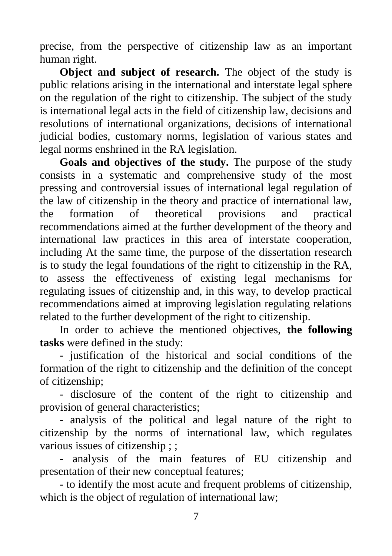precise, from the perspective of citizenship law as an important human right.

**Object and subject of research.** The object of the study is public relations arising in the international and interstate legal sphere on the regulation of the right to citizenship. The subject of the study is international legal acts in the field of citizenship law, decisions and resolutions of international organizations, decisions of international judicial bodies, customary norms, legislation of various states and legal norms enshrined in the RA legislation.

**Goals and objectives of the study.** The purpose of the study consists in a systematic and comprehensive study of the most pressing and controversial issues of international legal regulation of the law of citizenship in the theory and practice of international law, the formation of theoretical provisions and practical recommendations aimed at the further development of the theory and international law practices in this area of interstate cooperation, including At the same time, the purpose of the dissertation research is to study the legal foundations of the right to citizenship in the RA, to assess the effectiveness of existing legal mechanisms for regulating issues of citizenship and, in this way, to develop practical recommendations aimed at improving legislation regulating relations related to the further development of the right to citizenship.

In order to achieve the mentioned objectives, **the following tasks** were defined in the study:

- justification of the historical and social conditions of the formation of the right to citizenship and the definition of the concept of citizenship;

- disclosure of the content of the right to citizenship and provision of general characteristics;

- analysis of the political and legal nature of the right to citizenship by the norms of international law, which regulates various issues of citizenship ; ;

- analysis of the main features of EU citizenship and presentation of their new conceptual features;

- to identify the most acute and frequent problems of citizenship, which is the object of regulation of international law;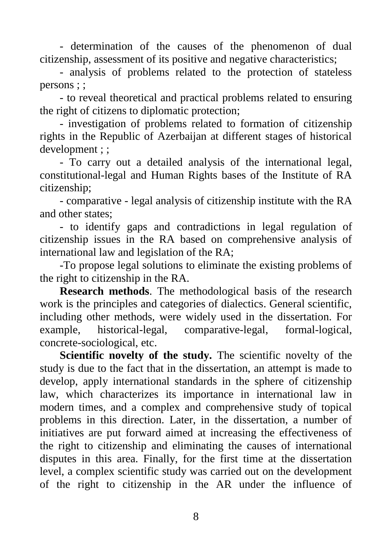- determination of the causes of the phenomenon of dual citizenship, assessment of its positive and negative characteristics;

- analysis of problems related to the protection of stateless persons ; ;

- to reveal theoretical and practical problems related to ensuring the right of citizens to diplomatic protection;

- investigation of problems related to formation of citizenship rights in the Republic of Azerbaijan at different stages of historical development ; ;

- To carry out a detailed analysis of the international legal, constitutional-legal and Human Rights bases of the Institute of RA citizenship;

- comparative - legal analysis of citizenship institute with the RA and other states;

- to identify gaps and contradictions in legal regulation of citizenship issues in the RA based on comprehensive analysis of international law and legislation of the RA;

-To propose legal solutions to eliminate the existing problems of the right to citizenship in the RA.

**Research methods**. The methodological basis of the research work is the principles and categories of dialectics. General scientific, including other methods, were widely used in the dissertation. For example, historical-legal, comparative-legal, formal-logical, concrete-sociological, etc.

**Scientific novelty of the study.** The scientific novelty of the study is due to the fact that in the dissertation, an attempt is made to develop, apply international standards in the sphere of citizenship law, which characterizes its importance in international law in modern times, and a complex and comprehensive study of topical problems in this direction. Later, in the dissertation, a number of initiatives are put forward aimed at increasing the effectiveness of the right to citizenship and eliminating the causes of international disputes in this area. Finally, for the first time at the dissertation level, a complex scientific study was carried out on the development of the right to citizenship in the AR under the influence of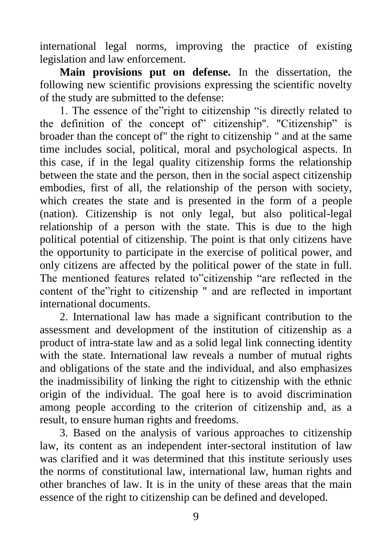international legal norms, improving the practice of existing legislation and law enforcement.

**Main provisions put on defense.** In the dissertation, the following new scientific provisions expressing the scientific novelty of the study are submitted to the defense:

1. The essence of the"right to citizenship "is directly related to the definition of the concept of" citizenship". "Citizenship" is broader than the concept of" the right to citizenship " and at the same time includes social, political, moral and psychological aspects. In this case, if in the legal quality citizenship forms the relationship between the state and the person, then in the social aspect citizenship embodies, first of all, the relationship of the person with society, which creates the state and is presented in the form of a people (nation). Citizenship is not only legal, but also political-legal relationship of a person with the state. This is due to the high political potential of citizenship. The point is that only citizens have the opportunity to participate in the exercise of political power, and only citizens are affected by the political power of the state in full. The mentioned features related to"citizenship "are reflected in the content of the"right to citizenship " and are reflected in important international documents.

2. International law has made a significant contribution to the assessment and development of the institution of citizenship as a product of intra-state law and as a solid legal link connecting identity with the state. International law reveals a number of mutual rights and obligations of the state and the individual, and also emphasizes the inadmissibility of linking the right to citizenship with the ethnic origin of the individual. The goal here is to avoid discrimination among people according to the criterion of citizenship and, as a result, to ensure human rights and freedoms.

3. Based on the analysis of various approaches to citizenship law, its content as an independent inter-sectoral institution of law was clarified and it was determined that this institute seriously uses the norms of constitutional law, international law, human rights and other branches of law. It is in the unity of these areas that the main essence of the right to citizenship can be defined and developed.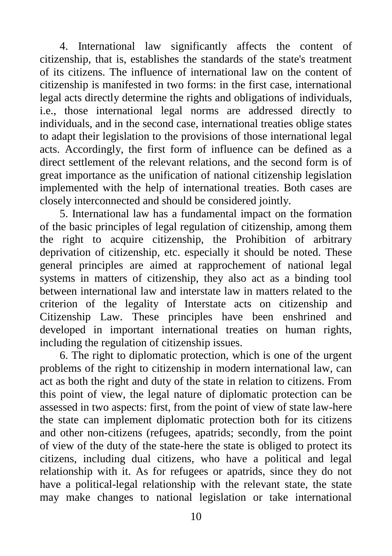4. International law significantly affects the content of citizenship, that is, establishes the standards of the state's treatment of its citizens. The influence of international law on the content of citizenship is manifested in two forms: in the first case, international legal acts directly determine the rights and obligations of individuals, i.e., those international legal norms are addressed directly to individuals, and in the second case, international treaties oblige states to adapt their legislation to the provisions of those international legal acts. Accordingly, the first form of influence can be defined as a direct settlement of the relevant relations, and the second form is of great importance as the unification of national citizenship legislation implemented with the help of international treaties. Both cases are closely interconnected and should be considered jointly.

5. International law has a fundamental impact on the formation of the basic principles of legal regulation of citizenship, among them the right to acquire citizenship, the Prohibition of arbitrary deprivation of citizenship, etc. especially it should be noted. These general principles are aimed at rapprochement of national legal systems in matters of citizenship, they also act as a binding tool between international law and interstate law in matters related to the criterion of the legality of Interstate acts on citizenship and Citizenship Law. These principles have been enshrined and developed in important international treaties on human rights, including the regulation of citizenship issues.

6. The right to diplomatic protection, which is one of the urgent problems of the right to citizenship in modern international law, can act as both the right and duty of the state in relation to citizens. From this point of view, the legal nature of diplomatic protection can be assessed in two aspects: first, from the point of view of state law-here the state can implement diplomatic protection both for its citizens and other non-citizens (refugees, apatrids; secondly, from the point of view of the duty of the state-here the state is obliged to protect its citizens, including dual citizens, who have a political and legal relationship with it. As for refugees or apatrids, since they do not have a political-legal relationship with the relevant state, the state may make changes to national legislation or take international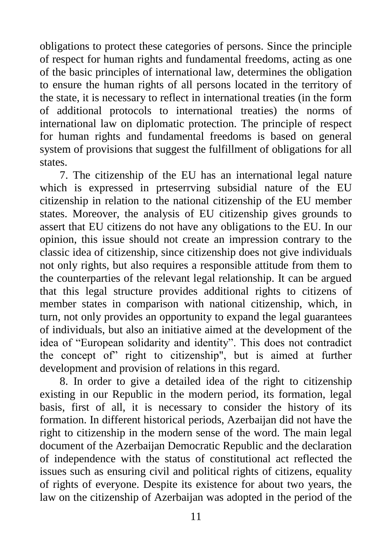obligations to protect these categories of persons. Since the principle of respect for human rights and fundamental freedoms, acting as one of the basic principles of international law, determines the obligation to ensure the human rights of all persons located in the territory of the state, it is necessary to reflect in international treaties (in the form of additional protocols to international treaties) the norms of international law on diplomatic protection. The principle of respect for human rights and fundamental freedoms is based on general system of provisions that suggest the fulfillment of obligations for all states.

7. The citizenship of the EU has an international legal nature which is expressed in prteserrving subsidial nature of the EU citizenship in relation to the national citizenship of the EU member states. Moreover, the analysis of EU citizenship gives grounds to assert that EU citizens do not have any obligations to the EU. In our opinion, this issue should not create an impression contrary to the classic idea of citizenship, since citizenship does not give individuals not only rights, but also requires a responsible attitude from them to the counterparties of the relevant legal relationship. It can be argued that this legal structure provides additional rights to citizens of member states in comparison with national citizenship, which, in turn, not only provides an opportunity to expand the legal guarantees of individuals, but also an initiative aimed at the development of the idea of "European solidarity and identity". This does not contradict the concept of" right to citizenship", but is aimed at further development and provision of relations in this regard.

8. In order to give a detailed idea of the right to citizenship existing in our Republic in the modern period, its formation, legal basis, first of all, it is necessary to consider the history of its formation. In different historical periods, Azerbaijan did not have the right to citizenship in the modern sense of the word. The main legal document of the Azerbaijan Democratic Republic and the declaration of independence with the status of constitutional act reflected the issues such as ensuring civil and political rights of citizens, equality of rights of everyone. Despite its existence for about two years, the law on the citizenship of Azerbaijan was adopted in the period of the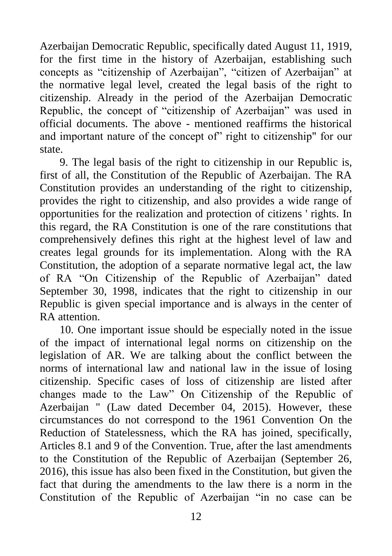Azerbaijan Democratic Republic, specifically dated August 11, 1919, for the first time in the history of Azerbaijan, establishing such concepts as "citizenship of Azerbaijan", "citizen of Azerbaijan" at the normative legal level, created the legal basis of the right to citizenship. Already in the period of the Azerbaijan Democratic Republic, the concept of "citizenship of Azerbaijan" was used in official documents. The above - mentioned reaffirms the historical and important nature of the concept of" right to citizenship" for our state.

9. The legal basis of the right to citizenship in our Republic is, first of all, the Constitution of the Republic of Azerbaijan. The RA Constitution provides an understanding of the right to citizenship, provides the right to citizenship, and also provides a wide range of opportunities for the realization and protection of citizens ' rights. In this regard, the RA Constitution is one of the rare constitutions that comprehensively defines this right at the highest level of law and creates legal grounds for its implementation. Along with the RA Constitution, the adoption of a separate normative legal act, the law of RA "On Citizenship of the Republic of Azerbaijan" dated September 30, 1998, indicates that the right to citizenship in our Republic is given special importance and is always in the center of RA attention.

10. One important issue should be especially noted in the issue of the impact of international legal norms on citizenship on the legislation of AR. We are talking about the conflict between the norms of international law and national law in the issue of losing citizenship. Specific cases of loss of citizenship are listed after changes made to the Law" On Citizenship of the Republic of Azerbaijan " (Law dated December 04, 2015). However, these circumstances do not correspond to the 1961 Convention On the Reduction of Statelessness, which the RA has joined, specifically, Articles 8.1 and 9 of the Convention. True, after the last amendments to the Constitution of the Republic of Azerbaijan (September 26, 2016), this issue has also been fixed in the Constitution, but given the fact that during the amendments to the law there is a norm in the Constitution of the Republic of Azerbaijan "in no case can be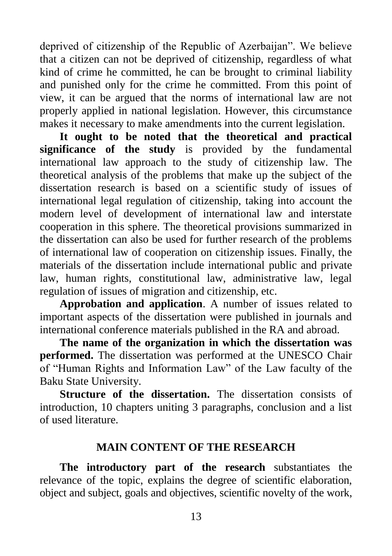deprived of citizenship of the Republic of Azerbaijan". We believe that a citizen can not be deprived of citizenship, regardless of what kind of crime he committed, he can be brought to criminal liability and punished only for the crime he committed. From this point of view, it can be argued that the norms of international law are not properly applied in national legislation. However, this circumstance makes it necessary to make amendments into the current legislation.

**It ought to be noted that the theoretical and practical significance of the study** is provided by the fundamental international law approach to the study of citizenship law. The theoretical analysis of the problems that make up the subject of the dissertation research is based on a scientific study of issues of international legal regulation of citizenship, taking into account the modern level of development of international law and interstate cooperation in this sphere. The theoretical provisions summarized in the dissertation can also be used for further research of the problems of international law of cooperation on citizenship issues. Finally, the materials of the dissertation include international public and private law, human rights, constitutional law, administrative law, legal regulation of issues of migration and citizenship, etc.

**Approbation and application**. A number of issues related to important aspects of the dissertation were published in journals and international conference materials published in the RA and abroad.

**The name of the organization in which the dissertation was performed.** The dissertation was performed at the UNESCO Chair of "Human Rights and Information Law" of the Law faculty of the Baku State University.

**Structure of the dissertation.** The dissertation consists of introduction, 10 chapters uniting 3 paragraphs, conclusion and a list of used literature.

## **MAIN CONTENT OF THE RESEARCH**

**The introductory part of the research** substantiates the relevance of the topic, explains the degree of scientific elaboration, object and subject, goals and objectives, scientific novelty of the work,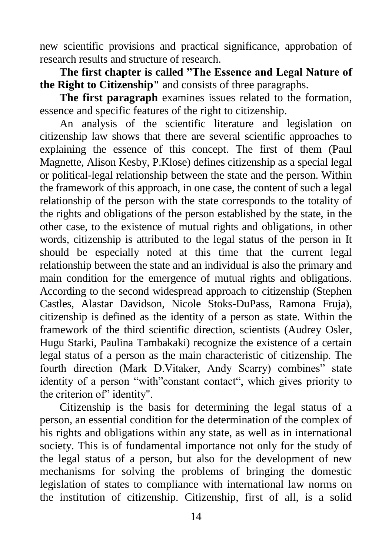new scientific provisions and practical significance, approbation of research results and structure of research.

**The first chapter is called "The Essence and Legal Nature of the Right to Citizenship"** and consists of three paragraphs.

**The first paragraph** examines issues related to the formation, essence and specific features of the right to citizenship.

An analysis of the scientific literature and legislation on citizenship law shows that there are several scientific approaches to explaining the essence of this concept. The first of them (Paul Magnette, Alison Kesby, P.Klose) defines citizenship as a special legal or political-legal relationship between the state and the person. Within the framework of this approach, in one case, the content of such a legal relationship of the person with the state corresponds to the totality of the rights and obligations of the person established by the state, in the other case, to the existence of mutual rights and obligations, in other words, citizenship is attributed to the legal status of the person in It should be especially noted at this time that the current legal relationship between the state and an individual is also the primary and main condition for the emergence of mutual rights and obligations. According to the second widespread approach to citizenship (Stephen Castles, Alastar Davidson, Nicole Stoks-DuPass, Ramona Fruja), citizenship is defined as the identity of a person as state. Within the framework of the third scientific direction, scientists (Audrey Osler, Hugu Starki, Paulina Tambakaki) recognize the existence of a certain legal status of a person as the main characteristic of citizenship. The fourth direction (Mark D.Vitaker, Andy Scarry) combines" state identity of a person "with"constant contact", which gives priority to the criterion of" identity".

Citizenship is the basis for determining the legal status of a person, an essential condition for the determination of the complex of his rights and obligations within any state, as well as in international society. This is of fundamental importance not only for the study of the legal status of a person, but also for the development of new mechanisms for solving the problems of bringing the domestic legislation of states to compliance with international law norms on the institution of citizenship. Citizenship, first of all, is a solid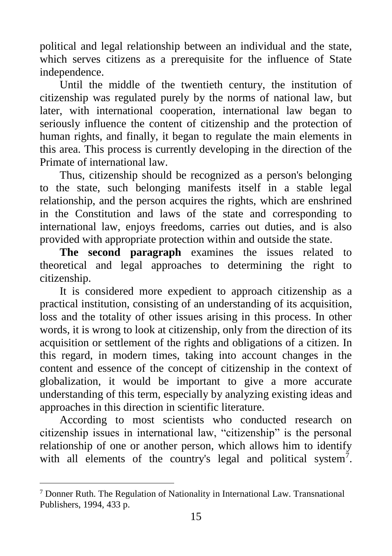political and legal relationship between an individual and the state, which serves citizens as a prerequisite for the influence of State independence.

Until the middle of the twentieth century, the institution of citizenship was regulated purely by the norms of national law, but later, with international cooperation, international law began to seriously influence the content of citizenship and the protection of human rights, and finally, it began to regulate the main elements in this area. This process is currently developing in the direction of the Primate of international law.

Thus, citizenship should be recognized as a person's belonging to the state, such belonging manifests itself in a stable legal relationship, and the person acquires the rights, which are enshrined in the Constitution and laws of the state and corresponding to international law, enjoys freedoms, carries out duties, and is also provided with appropriate protection within and outside the state.

**The second paragraph** examines the issues related to theoretical and legal approaches to determining the right to citizenship.

It is considered more expedient to approach citizenship as a practical institution, consisting of an understanding of its acquisition, loss and the totality of other issues arising in this process. In other words, it is wrong to look at citizenship, only from the direction of its acquisition or settlement of the rights and obligations of a citizen. In this regard, in modern times, taking into account changes in the content and essence of the concept of citizenship in the context of globalization, it would be important to give a more accurate understanding of this term, especially by analyzing existing ideas and approaches in this direction in scientific literature.

According to most scientists who conducted research on citizenship issues in international law, "citizenship" is the personal relationship of one or another person, which allows him to identify with all elements of the country's legal and political system<sup>7</sup>.

<sup>7</sup> Donner Ruth. The Regulation of Nationality in International Law. Transnational Publishers, 1994, 433 p.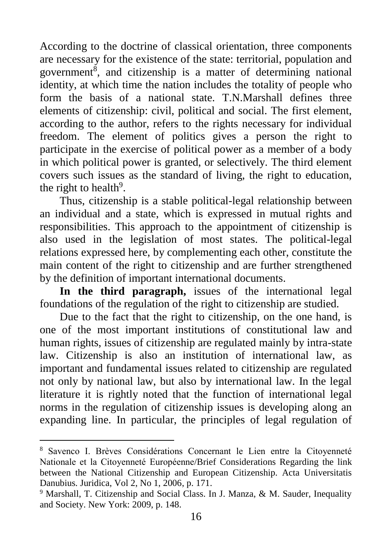According to the doctrine of classical orientation, three components are necessary for the existence of the state: territorial, population and government<sup>8</sup>, and citizenship is a matter of determining national identity, at which time the nation includes the totality of people who form the basis of a national state. T.N.Marshall defines three elements of citizenship: civil, political and social. The first element, according to the author, refers to the rights necessary for individual freedom. The element of politics gives a person the right to participate in the exercise of political power as a member of a body in which political power is granted, or selectively. The third element covers such issues as the standard of living, the right to education, the right to health $9$ .

Thus, citizenship is a stable political-legal relationship between an individual and a state, which is expressed in mutual rights and responsibilities. This approach to the appointment of citizenship is also used in the legislation of most states. The political-legal relations expressed here, by complementing each other, constitute the main content of the right to citizenship and are further strengthened by the definition of important international documents.

**In the third paragraph,** issues of the international legal foundations of the regulation of the right to citizenship are studied.

Due to the fact that the right to citizenship, on the one hand, is one of the most important institutions of constitutional law and human rights, issues of citizenship are regulated mainly by intra-state law. Citizenship is also an institution of international law, as important and fundamental issues related to citizenship are regulated not only by national law, but also by international law. In the legal literature it is rightly noted that the function of international legal norms in the regulation of citizenship issues is developing along an expanding line. In particular, the principles of legal regulation of

<sup>8</sup> Savenco I. Brèves Considérations Concernant le Lien entre la Citoyenneté Nationale et la Citoyenneté Européenne/Brief Considerations Regarding the link between the National Citizenship and European Citizenship. Acta Universitatis Danubius. Juridica, Vol 2, No 1, 2006, p. 171.

<sup>&</sup>lt;sup>9</sup> Marshall, T. Citizenship and Social Class. In J. Manza, & M. Sauder, Inequality and Society. New York: 2009, p. 148.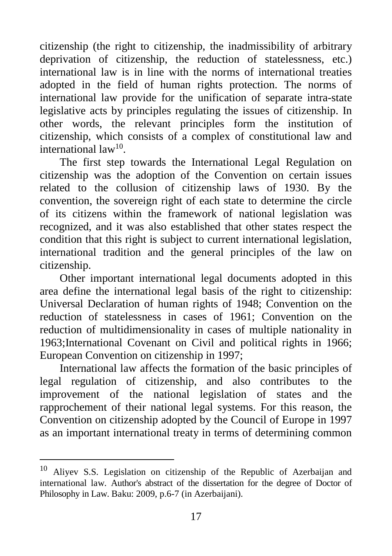citizenship (the right to citizenship, the inadmissibility of arbitrary deprivation of citizenship, the reduction of statelessness, etc.) international law is in line with the norms of international treaties adopted in the field of human rights protection. The norms of international law provide for the unification of separate intra-state legislative acts by principles regulating the issues of citizenship. In other words, the relevant principles form the institution of citizenship, which consists of a complex of constitutional law and international law<sup>10</sup>.

The first step towards the International Legal Regulation on citizenship was the adoption of the Convention on certain issues related to the collusion of citizenship laws of 1930. By the convention, the sovereign right of each state to determine the circle of its citizens within the framework of national legislation was recognized, and it was also established that other states respect the condition that this right is subject to current international legislation, international tradition and the general principles of the law on citizenship.

Other important international legal documents adopted in this area define the international legal basis of the right to citizenship: Universal Declaration of human rights of 1948; Convention on the reduction of statelessness in cases of 1961; Convention on the reduction of multidimensionality in cases of multiple nationality in 1963;International Covenant on Civil and political rights in 1966; European Convention on citizenship in 1997;

International law affects the formation of the basic principles of legal regulation of citizenship, and also contributes to the improvement of the national legislation of states and the rapprochement of their national legal systems. For this reason, the Convention on citizenship adopted by the Council of Europe in 1997 as an important international treaty in terms of determining common

<sup>&</sup>lt;sup>10</sup> Alivev S.S. Legislation on citizenship of the Republic of Azerbaijan and international law. Author's abstract of the dissertation for the degree of Doctor of Philosophy in Law. Baku: 2009, p.6-7 (in Azerbaijani).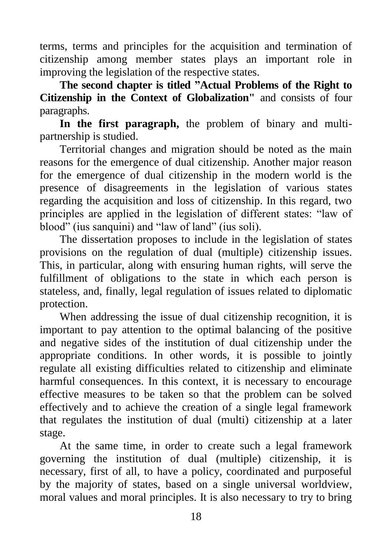terms, terms and principles for the acquisition and termination of citizenship among member states plays an important role in improving the legislation of the respective states.

**The second chapter is titled "Actual Problems of the Right to Citizenship in the Context of Globalization"** and consists of four paragraphs.

**In the first paragraph,** the problem of binary and multipartnership is studied.

Territorial changes and migration should be noted as the main reasons for the emergence of dual citizenship. Another major reason for the emergence of dual citizenship in the modern world is the presence of disagreements in the legislation of various states regarding the acquisition and loss of citizenship. In this regard, two principles are applied in the legislation of different states: "law of blood" (ius sanquini) and "law of land" (ius soli).

The dissertation proposes to include in the legislation of states provisions on the regulation of dual (multiple) citizenship issues. This, in particular, along with ensuring human rights, will serve the fulfillment of obligations to the state in which each person is stateless, and, finally, legal regulation of issues related to diplomatic protection.

When addressing the issue of dual citizenship recognition, it is important to pay attention to the optimal balancing of the positive and negative sides of the institution of dual citizenship under the appropriate conditions. In other words, it is possible to jointly regulate all existing difficulties related to citizenship and eliminate harmful consequences. In this context, it is necessary to encourage effective measures to be taken so that the problem can be solved effectively and to achieve the creation of a single legal framework that regulates the institution of dual (multi) citizenship at a later stage.

At the same time, in order to create such a legal framework governing the institution of dual (multiple) citizenship, it is necessary, first of all, to have a policy, coordinated and purposeful by the majority of states, based on a single universal worldview, moral values and moral principles. It is also necessary to try to bring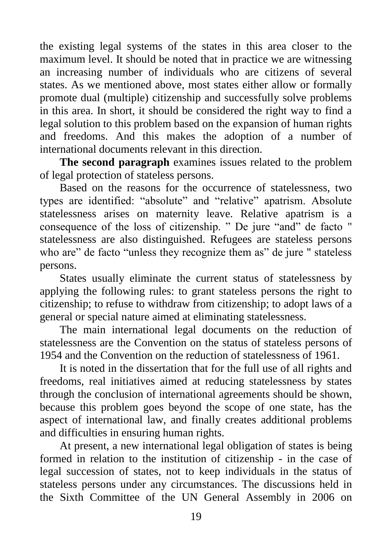the existing legal systems of the states in this area closer to the maximum level. It should be noted that in practice we are witnessing an increasing number of individuals who are citizens of several states. As we mentioned above, most states either allow or formally promote dual (multiple) citizenship and successfully solve problems in this area. In short, it should be considered the right way to find a legal solution to this problem based on the expansion of human rights and freedoms. And this makes the adoption of a number of international documents relevant in this direction.

**The second paragraph** examines issues related to the problem of legal protection of stateless persons.

Based on the reasons for the occurrence of statelessness, two types are identified: "absolute" and "relative" apatrism. Absolute statelessness arises on maternity leave. Relative apatrism is a consequence of the loss of citizenship. " De jure "and" de facto " statelessness are also distinguished. Refugees are stateless persons who are" de facto "unless they recognize them as" de jure " stateless persons.

States usually eliminate the current status of statelessness by applying the following rules: to grant stateless persons the right to citizenship; to refuse to withdraw from citizenship; to adopt laws of a general or special nature aimed at eliminating statelessness.

The main international legal documents on the reduction of statelessness are the Convention on the status of stateless persons of 1954 and the Convention on the reduction of statelessness of 1961.

It is noted in the dissertation that for the full use of all rights and freedoms, real initiatives aimed at reducing statelessness by states through the conclusion of international agreements should be shown, because this problem goes beyond the scope of one state, has the aspect of international law, and finally creates additional problems and difficulties in ensuring human rights.

At present, a new international legal obligation of states is being formed in relation to the institution of citizenship - in the case of legal succession of states, not to keep individuals in the status of stateless persons under any circumstances. The discussions held in the Sixth Committee of the UN General Assembly in 2006 on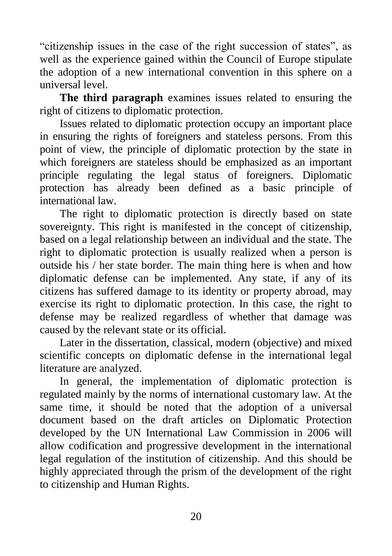"citizenship issues in the case of the right succession of states", as well as the experience gained within the Council of Europe stipulate the adoption of a new international convention in this sphere on a universal level.

**The third paragraph** examines issues related to ensuring the right of citizens to diplomatic protection.

Issues related to diplomatic protection occupy an important place in ensuring the rights of foreigners and stateless persons. From this point of view, the principle of diplomatic protection by the state in which foreigners are stateless should be emphasized as an important principle regulating the legal status of foreigners. Diplomatic protection has already been defined as a basic principle of international law.

The right to diplomatic protection is directly based on state sovereignty. This right is manifested in the concept of citizenship, based on a legal relationship between an individual and the state. The right to diplomatic protection is usually realized when a person is outside his / her state border. The main thing here is when and how diplomatic defense can be implemented. Any state, if any of its citizens has suffered damage to its identity or property abroad, may exercise its right to diplomatic protection. In this case, the right to defense may be realized regardless of whether that damage was caused by the relevant state or its official.

Later in the dissertation, classical, modern (objective) and mixed scientific concepts on diplomatic defense in the international legal literature are analyzed.

In general, the implementation of diplomatic protection is regulated mainly by the norms of international customary law. At the same time, it should be noted that the adoption of a universal document based on the draft articles on Diplomatic Protection developed by the UN International Law Commission in 2006 will allow codification and progressive development in the international legal regulation of the institution of citizenship. And this should be highly appreciated through the prism of the development of the right to citizenship and Human Rights.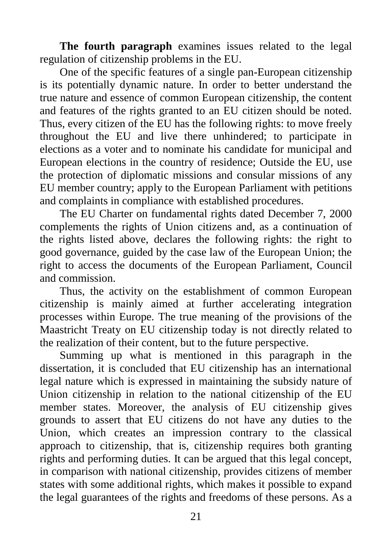**The fourth paragraph** examines issues related to the legal regulation of citizenship problems in the EU.

One of the specific features of a single pan-European citizenship is its potentially dynamic nature. In order to better understand the true nature and essence of common European citizenship, the content and features of the rights granted to an EU citizen should be noted. Thus, every citizen of the EU has the following rights: to move freely throughout the EU and live there unhindered; to participate in elections as a voter and to nominate his candidate for municipal and European elections in the country of residence; Outside the EU, use the protection of diplomatic missions and consular missions of any EU member country; apply to the European Parliament with petitions and complaints in compliance with established procedures.

The EU Charter on fundamental rights dated December 7, 2000 complements the rights of Union citizens and, as a continuation of the rights listed above, declares the following rights: the right to good governance, guided by the case law of the European Union; the right to access the documents of the European Parliament, Council and commission.

Thus, the activity on the establishment of common European citizenship is mainly aimed at further accelerating integration processes within Europe. The true meaning of the provisions of the Maastricht Treaty on EU citizenship today is not directly related to the realization of their content, but to the future perspective.

Summing up what is mentioned in this paragraph in the dissertation, it is concluded that EU citizenship has an international legal nature which is expressed in maintaining the subsidy nature of Union citizenship in relation to the national citizenship of the EU member states. Moreover, the analysis of EU citizenship gives grounds to assert that EU citizens do not have any duties to the Union, which creates an impression contrary to the classical approach to citizenship, that is, citizenship requires both granting rights and performing duties. It can be argued that this legal concept, in comparison with national citizenship, provides citizens of member states with some additional rights, which makes it possible to expand the legal guarantees of the rights and freedoms of these persons. As a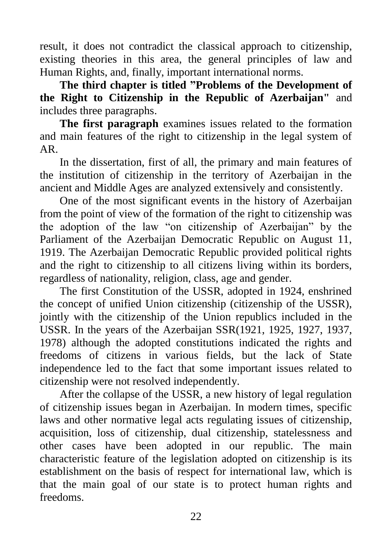result, it does not contradict the classical approach to citizenship, existing theories in this area, the general principles of law and Human Rights, and, finally, important international norms.

**The third chapter is titled "Problems of the Development of the Right to Citizenship in the Republic of Azerbaijan"** and includes three paragraphs.

**The first paragraph** examines issues related to the formation and main features of the right to citizenship in the legal system of AR.

In the dissertation, first of all, the primary and main features of the institution of citizenship in the territory of Azerbaijan in the ancient and Middle Ages are analyzed extensively and consistently.

One of the most significant events in the history of Azerbaijan from the point of view of the formation of the right to citizenship was the adoption of the law "on citizenship of Azerbaijan" by the Parliament of the Azerbaijan Democratic Republic on August 11, 1919. The Azerbaijan Democratic Republic provided political rights and the right to citizenship to all citizens living within its borders, regardless of nationality, religion, class, age and gender.

The first Constitution of the USSR, adopted in 1924, enshrined the concept of unified Union citizenship (citizenship of the USSR), jointly with the citizenship of the Union republics included in the USSR. In the years of the Azerbaijan SSR(1921, 1925, 1927, 1937, 1978) although the adopted constitutions indicated the rights and freedoms of citizens in various fields, but the lack of State independence led to the fact that some important issues related to citizenship were not resolved independently.

After the collapse of the USSR, a new history of legal regulation of citizenship issues began in Azerbaijan. In modern times, specific laws and other normative legal acts regulating issues of citizenship, acquisition, loss of citizenship, dual citizenship, statelessness and other cases have been adopted in our republic. The main characteristic feature of the legislation adopted on citizenship is its establishment on the basis of respect for international law, which is that the main goal of our state is to protect human rights and freedoms.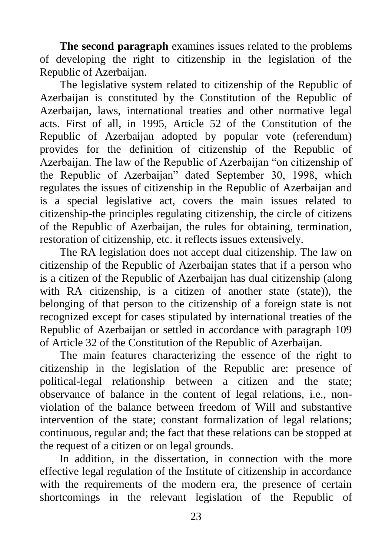**The second paragraph** examines issues related to the problems of developing the right to citizenship in the legislation of the Republic of Azerbaijan.

The legislative system related to citizenship of the Republic of Azerbaijan is constituted by the Constitution of the Republic of Azerbaijan, laws, international treaties and other normative legal acts. First of all, in 1995, Article 52 of the Constitution of the Republic of Azerbaijan adopted by popular vote (referendum) provides for the definition of citizenship of the Republic of Azerbaijan. The law of the Republic of Azerbaijan "on citizenship of the Republic of Azerbaijan" dated September 30, 1998, which regulates the issues of citizenship in the Republic of Azerbaijan and is a special legislative act, covers the main issues related to citizenship-the principles regulating citizenship, the circle of citizens of the Republic of Azerbaijan, the rules for obtaining, termination, restoration of citizenship, etc. it reflects issues extensively.

The RA legislation does not accept dual citizenship. The law on citizenship of the Republic of Azerbaijan states that if a person who is a citizen of the Republic of Azerbaijan has dual citizenship (along with RA citizenship, is a citizen of another state (state)), the belonging of that person to the citizenship of a foreign state is not recognized except for cases stipulated by international treaties of the Republic of Azerbaijan or settled in accordance with paragraph 109 of Article 32 of the Constitution of the Republic of Azerbaijan.

The main features characterizing the essence of the right to citizenship in the legislation of the Republic are: presence of political-legal relationship between a citizen and the state; observance of balance in the content of legal relations, i.e., nonviolation of the balance between freedom of Will and substantive intervention of the state; constant formalization of legal relations; continuous, regular and; the fact that these relations can be stopped at the request of a citizen or on legal grounds.

In addition, in the dissertation, in connection with the more effective legal regulation of the Institute of citizenship in accordance with the requirements of the modern era, the presence of certain shortcomings in the relevant legislation of the Republic of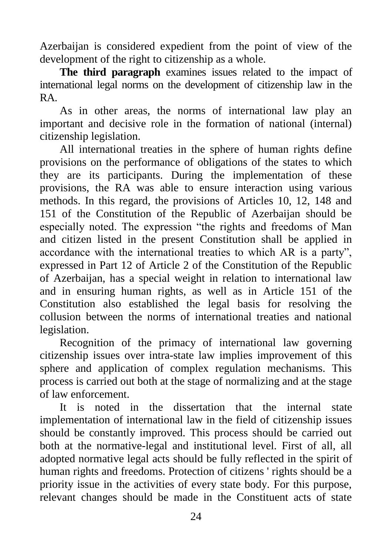Azerbaijan is considered expedient from the point of view of the development of the right to citizenship as a whole.

**The third paragraph** examines issues related to the impact of international legal norms on the development of citizenship law in the RA.

As in other areas, the norms of international law play an important and decisive role in the formation of national (internal) citizenship legislation.

All international treaties in the sphere of human rights define provisions on the performance of obligations of the states to which they are its participants. During the implementation of these provisions, the RA was able to ensure interaction using various methods. In this regard, the provisions of Articles 10, 12, 148 and 151 of the Constitution of the Republic of Azerbaijan should be especially noted. The expression "the rights and freedoms of Man and citizen listed in the present Constitution shall be applied in accordance with the international treaties to which AR is a party", expressed in Part 12 of Article 2 of the Constitution of the Republic of Azerbaijan, has a special weight in relation to international law and in ensuring human rights, as well as in Article 151 of the Constitution also established the legal basis for resolving the collusion between the norms of international treaties and national legislation.

Recognition of the primacy of international law governing citizenship issues over intra-state law implies improvement of this sphere and application of complex regulation mechanisms. This process is carried out both at the stage of normalizing and at the stage of law enforcement.

It is noted in the dissertation that the internal state implementation of international law in the field of citizenship issues should be constantly improved. This process should be carried out both at the normative-legal and institutional level. First of all, all adopted normative legal acts should be fully reflected in the spirit of human rights and freedoms. Protection of citizens ' rights should be a priority issue in the activities of every state body. For this purpose, relevant changes should be made in the Constituent acts of state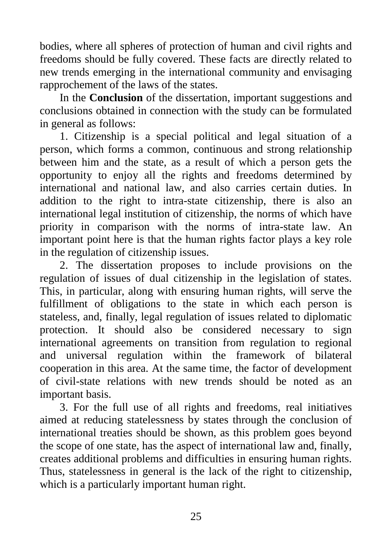bodies, where all spheres of protection of human and civil rights and freedoms should be fully covered. These facts are directly related to new trends emerging in the international community and envisaging rapprochement of the laws of the states.

In the **Conclusion** of the dissertation, important suggestions and conclusions obtained in connection with the study can be formulated in general as follows:

1. Citizenship is a special political and legal situation of a person, which forms a common, continuous and strong relationship between him and the state, as a result of which a person gets the opportunity to enjoy all the rights and freedoms determined by international and national law, and also carries certain duties. In addition to the right to intra-state citizenship, there is also an international legal institution of citizenship, the norms of which have priority in comparison with the norms of intra-state law. An important point here is that the human rights factor plays a key role in the regulation of citizenship issues.

2. The dissertation proposes to include provisions on the regulation of issues of dual citizenship in the legislation of states. This, in particular, along with ensuring human rights, will serve the fulfillment of obligations to the state in which each person is stateless, and, finally, legal regulation of issues related to diplomatic protection. It should also be considered necessary to sign international agreements on transition from regulation to regional and universal regulation within the framework of bilateral cooperation in this area. At the same time, the factor of development of civil-state relations with new trends should be noted as an important basis.

3. For the full use of all rights and freedoms, real initiatives aimed at reducing statelessness by states through the conclusion of international treaties should be shown, as this problem goes beyond the scope of one state, has the aspect of international law and, finally, creates additional problems and difficulties in ensuring human rights. Thus, statelessness in general is the lack of the right to citizenship, which is a particularly important human right.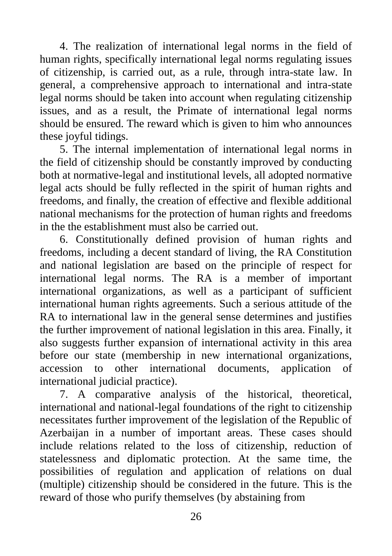4. The realization of international legal norms in the field of human rights, specifically international legal norms regulating issues of citizenship, is carried out, as a rule, through intra-state law. In general, a comprehensive approach to international and intra-state legal norms should be taken into account when regulating citizenship issues, and as a result, the Primate of international legal norms should be ensured. The reward which is given to him who announces these joyful tidings.

5. The internal implementation of international legal norms in the field of citizenship should be constantly improved by conducting both at normative-legal and institutional levels, all adopted normative legal acts should be fully reflected in the spirit of human rights and freedoms, and finally, the creation of effective and flexible additional national mechanisms for the protection of human rights and freedoms in the the establishment must also be carried out.

6. Constitutionally defined provision of human rights and freedoms, including a decent standard of living, the RA Constitution and national legislation are based on the principle of respect for international legal norms. The RA is a member of important international organizations, as well as a participant of sufficient international human rights agreements. Such a serious attitude of the RA to international law in the general sense determines and justifies the further improvement of national legislation in this area. Finally, it also suggests further expansion of international activity in this area before our state (membership in new international organizations, accession to other international documents, application of international judicial practice).

7. A comparative analysis of the historical, theoretical, international and national-legal foundations of the right to citizenship necessitates further improvement of the legislation of the Republic of Azerbaijan in a number of important areas. These cases should include relations related to the loss of citizenship, reduction of statelessness and diplomatic protection. At the same time, the possibilities of regulation and application of relations on dual (multiple) citizenship should be considered in the future. This is the reward of those who purify themselves (by abstaining from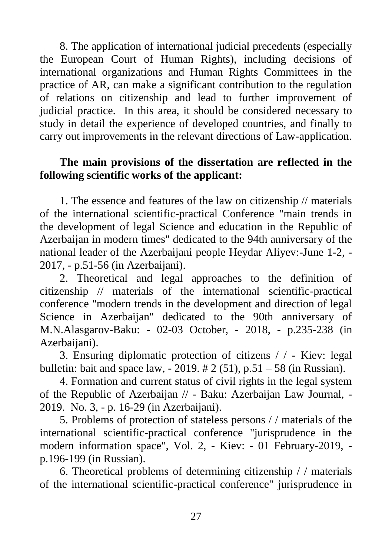8. The application of international judicial precedents (especially the European Court of Human Rights), including decisions of international organizations and Human Rights Committees in the practice of AR, can make a significant contribution to the regulation of relations on citizenship and lead to further improvement of judicial practice. In this area, it should be considered necessary to study in detail the experience of developed countries, and finally to carry out improvements in the relevant directions of Law-application.

## **The main provisions of the dissertation are reflected in the following scientific works of the applicant:**

1. The essence and features of the law on citizenship // materials of the international scientific-practical Conference "main trends in the development of legal Science and education in the Republic of Azerbaijan in modern times" dedicated to the 94th anniversary of the national leader of the Azerbaijani people Heydar Aliyev:-June 1-2, - 2017, - p.51-56 (in Azerbaijani).

2. Theoretical and legal approaches to the definition of citizenship // materials of the international scientific-practical conference "modern trends in the development and direction of legal Science in Azerbaijan" dedicated to the 90th anniversary of M.N.Alasgarov-Baku: - 02-03 October, - 2018, - p.235-238 (in Azerbaijani).

3. Ensuring diplomatic protection of citizens / / - Kiev: legal bulletin: bait and space law,  $-2019. \# 2 (51)$ , p.51 – 58 (in Russian).

4. Formation and current status of civil rights in the legal system of the Republic of Azerbaijan // - Baku: Azerbaijan Law Journal, - 2019. No. 3, - p. 16-29 (in Azerbaijani).

5. Problems of protection of stateless persons / / materials of the international scientific-practical conference "jurisprudence in the modern information space", Vol. 2, - Kiev: - 01 February-2019, p.196-199 (in Russian).

6. Theoretical problems of determining citizenship / / materials of the international scientific-practical conference" jurisprudence in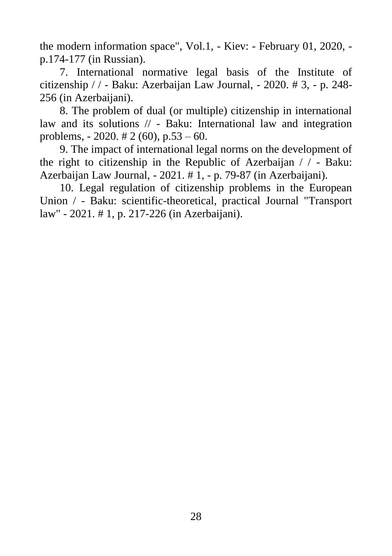the modern information space", Vol.1, - Kiev: - February 01, 2020, p.174-177 (in Russian).

7. International normative legal basis of the Institute of citizenship / / - Baku: Azerbaijan Law Journal, - 2020. # 3, - p. 248- 256 (in Azerbaijani).

8. The problem of dual (or multiple) citizenship in international law and its solutions // - Baku: International law and integration problems,  $-2020$ .  $\# 2$  (60), p.53 – 60.

9. The impact of international legal norms on the development of the right to citizenship in the Republic of Azerbaijan / / - Baku: Azerbaijan Law Journal, - 2021. # 1, - p. 79-87 (in Azerbaijani).

10. Legal regulation of citizenship problems in the European Union / - Baku: scientific-theoretical, practical Journal "Transport law" - 2021. # 1, p. 217-226 (in Azerbaijani).